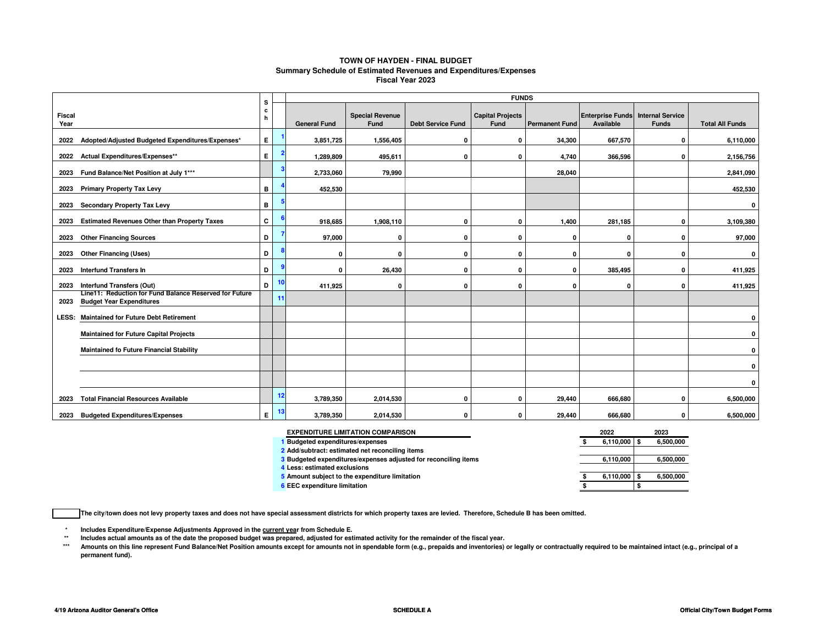#### **TOWN OF HAYDEN - FINAL BUDGET Summary Schedule of Estimated Revenues and Expenditures/ExpensesFiscal Year 2023**

|                                                                                             | <b>FUNDS</b><br>s |    |                     |                                |                          |                                 |                       |                                      |                                         |                        |
|---------------------------------------------------------------------------------------------|-------------------|----|---------------------|--------------------------------|--------------------------|---------------------------------|-----------------------|--------------------------------------|-----------------------------------------|------------------------|
| <b>Fiscal</b><br>Year                                                                       | $\mathbf{c}$<br>h |    | <b>General Fund</b> | <b>Special Revenue</b><br>Fund | <b>Debt Service Fund</b> | <b>Capital Projects</b><br>Fund | <b>Permanent Fund</b> | <b>Enterprise Funds</b><br>Available | <b>Internal Service</b><br><b>Funds</b> | <b>Total All Funds</b> |
| Adopted/Adjusted Budgeted Expenditures/Expenses*<br>2022                                    | E.                |    | 3,851,725           | 1,556,405                      | 0                        | 0                               | 34,300                | 667,570                              | 0                                       | 6,110,000              |
| Actual Expenditures/Expenses**<br>2022                                                      | E.                |    | 1,289,809           | 495,611                        | 0                        | 0                               | 4,740                 | 366,596                              | 0                                       | 2,156,756              |
| Fund Balance/Net Position at July 1***<br>2023                                              |                   |    | 2,733,060           | 79,990                         |                          |                                 | 28,040                |                                      |                                         | 2,841,090              |
| <b>Primary Property Tax Levy</b><br>2023                                                    | в                 |    | 452,530             |                                |                          |                                 |                       |                                      |                                         | 452,530                |
| Secondary Property Tax Levy<br>2023                                                         | в                 |    |                     |                                |                          |                                 |                       |                                      |                                         | 0                      |
| <b>Estimated Revenues Other than Property Taxes</b><br>2023                                 | C                 |    | 918,685             | 1,908,110                      | 0                        | 0                               | 1,400                 | 281,185                              | O                                       | 3,109,380              |
| <b>Other Financing Sources</b><br>2023                                                      | D                 |    | 97,000              | 0                              | O                        | 0                               | O                     | $\Omega$                             | O                                       | 97,000                 |
| <b>Other Financing (Uses)</b><br>2023                                                       | D                 |    | 0                   | $\mathbf{0}$                   | 0                        | 0                               | 0                     | 0                                    | $\Omega$                                | $\mathbf 0$            |
| <b>Interfund Transfers In</b><br>2023                                                       | D                 |    | 0                   | 26,430                         | 0                        | 0                               | 0                     | 385,495                              | $\Omega$                                | 411,925                |
| Interfund Transfers (Out)<br>2023<br>Line11: Reduction for Fund Balance Reserved for Future | D                 | 10 | 411,925             | $\mathbf{0}$                   | 0                        | $\mathbf{0}$                    | 0                     | 0                                    | $\Omega$                                | 411,925                |
| <b>Budget Year Expenditures</b><br>2023                                                     |                   | 11 |                     |                                |                          |                                 |                       |                                      |                                         |                        |
| <b>Maintained for Future Debt Retirement</b><br>LESS:                                       |                   |    |                     |                                |                          |                                 |                       |                                      |                                         | 0                      |
| <b>Maintained for Future Capital Projects</b>                                               |                   |    |                     |                                |                          |                                 |                       |                                      |                                         | $\mathbf 0$            |
| <b>Maintained fo Future Financial Stability</b>                                             |                   |    |                     |                                |                          |                                 |                       |                                      |                                         | $\mathbf 0$            |
|                                                                                             |                   |    |                     |                                |                          |                                 |                       |                                      |                                         | $\mathbf 0$            |
|                                                                                             |                   |    |                     |                                |                          |                                 |                       |                                      |                                         | 0                      |
| <b>Total Financial Resources Available</b><br>2023                                          |                   | 12 | 3,789,350           | 2,014,530                      | 0                        | 0                               | 29,440                | 666,680                              | 0                                       | 6,500,000              |
| <b>Budgeted Expenditures/Expenses</b><br>2023                                               | E.                | 13 | 3,789,350           | 2,014,530                      | 0                        | 0                               | 29,440                | 666.680                              | n                                       | 6,500,000              |

| <b>EXPENDITURE LIMITATION COMPARISON</b>                             | 2022      | 2023      |
|----------------------------------------------------------------------|-----------|-----------|
| <b>Budgeted expenditures/expenses</b>                                | 6.110.000 | 6,500,000 |
| 2 Add/subtract: estimated net reconciling items                      |           |           |
| <b>Budgeted expenditures/expenses adjusted for reconciling items</b> | 6.110.000 | 6,500,000 |
| Less: estimated exclusions                                           |           |           |
| <b>J</b> Amount subject to the expenditure limitation                | 6,110,000 | 6,500,000 |
| <b>EEC</b> expenditure limitation                                    |           |           |

**The city/town does not levy property taxes and does not have special assessment districts for which property taxes are levied. Therefore, Schedule B has been omitted.**

**\*Includes Expenditure/Expense Adjustments Approved in the current year from Schedule E.** 

 **\*\*Includes actual amounts as of the date the proposed budget was prepared, adjusted for estimated activity for the remainder of the fiscal year.**

 **\*\*\***\* Amounts on this line represent Fund Balance/Net Position amounts except for amounts not in spendable form (e.g., prepaids and inventories) or legally or contractually required to be maintained intact (e.g., principal of **permanent fund).**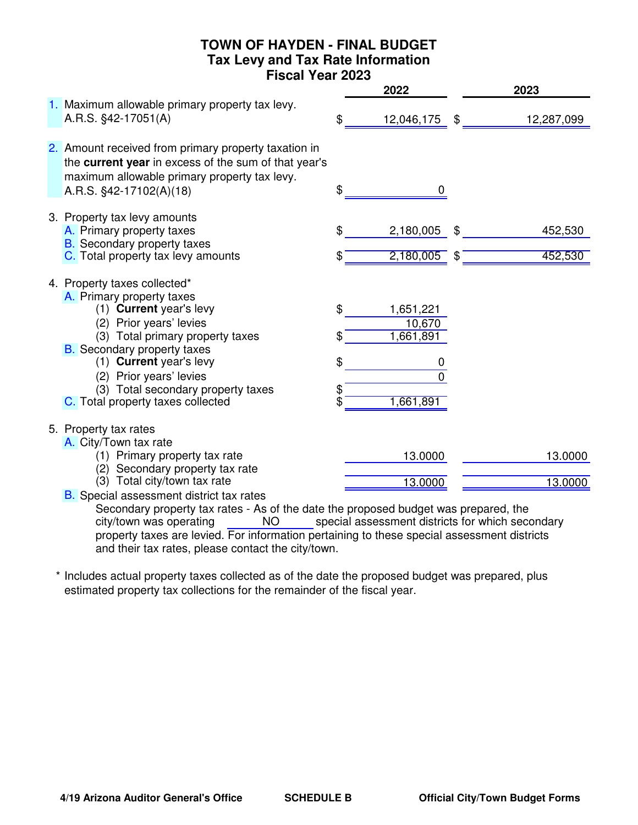## **TOWN OF HAYDEN - FINAL BUDGET Tax Levy and Tax Rate Information Fiscal Year 2023**

|                                                                                                                                                                                         |          | 2022                             | 2023                     |
|-----------------------------------------------------------------------------------------------------------------------------------------------------------------------------------------|----------|----------------------------------|--------------------------|
| 1. Maximum allowable primary property tax levy.<br>A.R.S. §42-17051(A)                                                                                                                  | \$       | 12,046,175 \$                    | 12,287,099               |
| 2. Amount received from primary property taxation in<br>the current year in excess of the sum of that year's<br>maximum allowable primary property tax levy.<br>A.R.S. §42-17102(A)(18) | \$       | 0                                |                          |
| 3. Property tax levy amounts<br>A. Primary property taxes<br><b>B.</b> Secondary property taxes<br>C. Total property tax levy amounts                                                   | \$       | 2,180,005<br>$2,180,005$ \$      | \$<br>452,530<br>452,530 |
| 4. Property taxes collected*<br>A. Primary property taxes                                                                                                                               |          |                                  |                          |
| (1) Current year's levy<br>(2) Prior years' levies<br>(3) Total primary property taxes                                                                                                  | \$       | 1,651,221<br>10,670<br>1,661,891 |                          |
| <b>B.</b> Secondary property taxes<br>(1) Current year's levy<br>(2) Prior years' levies<br>(3) Total secondary property taxes                                                          | \$<br>\$ | 0<br>U                           |                          |
| C. Total property taxes collected                                                                                                                                                       |          | 1,661,891                        |                          |
| 5. Property tax rates<br>A. City/Town tax rate                                                                                                                                          |          |                                  |                          |
| (1) Primary property tax rate<br>(2) Secondary property tax rate                                                                                                                        |          | 13.0000                          | 13.0000                  |
| (3) Total city/town tax rate<br><b>B.</b> Special assessment district tax rates                                                                                                         |          | 13.0000                          | 13.0000                  |

Secondary property tax rates - As of the date the proposed budget was prepared, the<br>city/town was operating MO special assessment districts for which secondary NO special assessment districts for which secondary property taxes are levied. For information pertaining to these special assessment districts and their tax rates, please contact the city/town. city/town was operating

\* Includes actual property taxes collected as of the date the proposed budget was prepared, plus estimated property tax collections for the remainder of the fiscal year.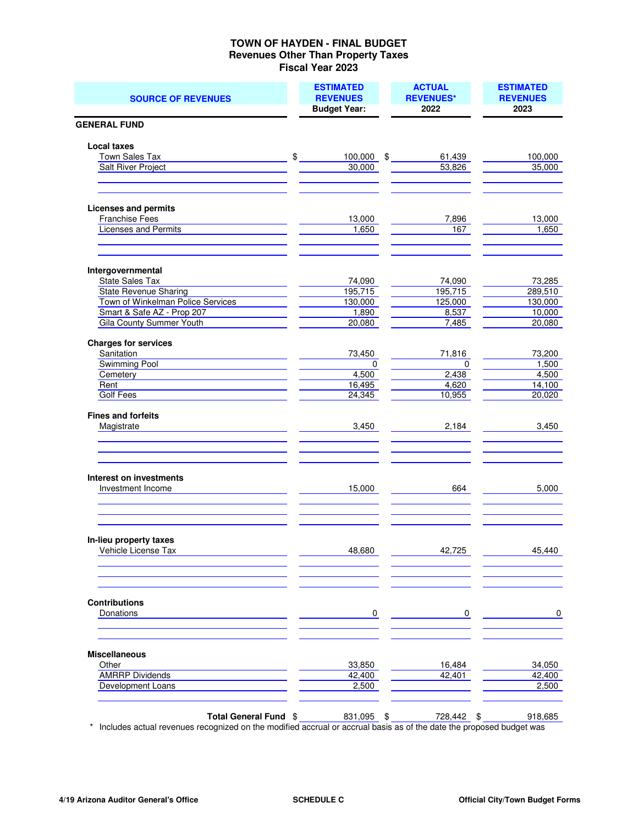#### **TOWN OF HAYDEN - FINAL BUDGET Revenues Other Than Property Taxes Fiscal Year 2023**

| <b>SOURCE OF REVENUES</b>                           | <b>ESTIMATED</b><br><b>REVENUES</b><br><b>Budget Year:</b> | <b>ACTUAL</b><br><b>REVENUES*</b><br>2022 | <b>ESTIMATED</b><br><b>REVENUES</b><br>2023 |
|-----------------------------------------------------|------------------------------------------------------------|-------------------------------------------|---------------------------------------------|
| <b>GENERAL FUND</b>                                 |                                                            |                                           |                                             |
| <b>Local taxes</b>                                  |                                                            |                                           |                                             |
| Town Sales Tax                                      | \$<br>$100,000$ \$                                         | 61,439                                    | 100,000                                     |
| <b>Salt River Project</b>                           | 30,000                                                     | 53,826                                    | 35,000                                      |
|                                                     |                                                            |                                           |                                             |
| <b>Licenses and permits</b>                         |                                                            |                                           |                                             |
| Franchise Fees                                      | 13,000                                                     | 7,896                                     | 13,000                                      |
| Licenses and Permits                                | 1,650                                                      | 167                                       | 1,650                                       |
| Intergovernmental                                   |                                                            |                                           |                                             |
| <b>State Sales Tax</b>                              | 74,090                                                     | 74,090                                    | 73,285                                      |
| <b>State Revenue Sharing</b>                        | 195,715                                                    | 195,715                                   | 289,510                                     |
| Town of Winkelman Police Services                   | 130,000                                                    | 125,000                                   | 130,000                                     |
| Smart & Safe AZ - Prop 207                          | 1,890                                                      | 8,537                                     | 10,000                                      |
| Gila County Summer Youth                            | 20,080                                                     | 7,485                                     | 20,080                                      |
| <b>Charges for services</b>                         |                                                            |                                           |                                             |
| Sanitation                                          | 73,450                                                     | 71,816                                    | 73,200                                      |
| Swimming Pool                                       | $\mathbf 0$                                                | $\mathbf 0$                               | 1,500                                       |
| Cemetery                                            | 4,500                                                      | 2,438                                     | 4,500                                       |
| Rent                                                | 16,495                                                     | 4,620                                     | 14,100                                      |
| <b>Golf Fees</b>                                    | 24,345                                                     | 10,955                                    | 20,020                                      |
| <b>Fines and forfeits</b><br>Magistrate             | 3,450                                                      | 2,184                                     | 3,450                                       |
| <b>Interest on investments</b><br>Investment Income | 15,000                                                     | 664                                       | 5,000                                       |
| In-lieu property taxes<br>Vehicle License Tax       | 48,680                                                     | 42,725                                    | 45,440                                      |
| <b>Contributions</b><br>Donations                   | $\overline{0}$                                             | 0                                         | 0                                           |
| <b>Miscellaneous</b>                                |                                                            |                                           |                                             |
| Other                                               | 33,850                                                     | 16,484                                    | 34,050                                      |
| <b>AMRRP Dividends</b>                              | 42,400                                                     | 42,401                                    | 42,400                                      |
| Development Loans                                   | 2,500                                                      |                                           | 2,500                                       |
| Total General Fund \$                               | 831,095 \$                                                 | 728,442 \$                                | 918,685                                     |

\* Includes actual revenues recognized on the modified accrual or accrual basis as of the date the proposed budget was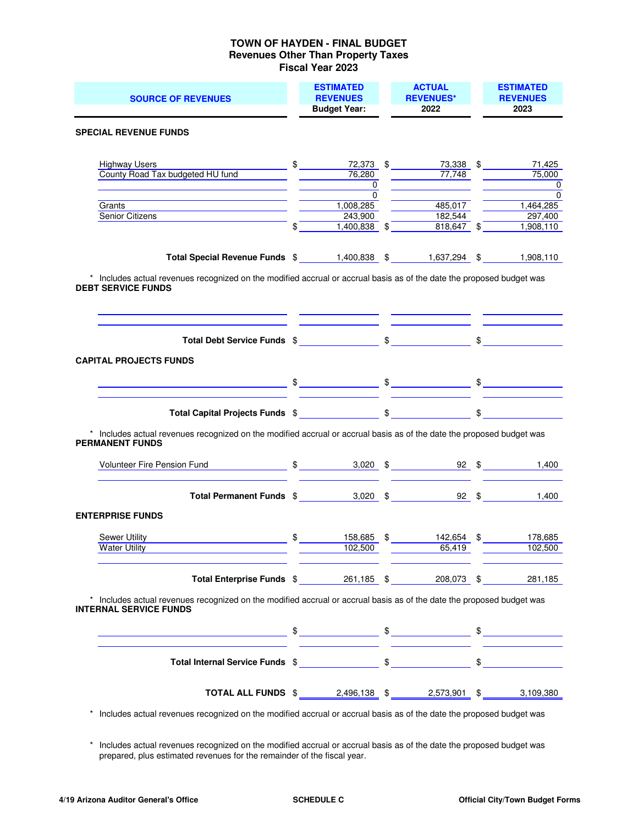#### **TOWN OF HAYDEN - FINAL BUDGET Revenues Other Than Property Taxes Fiscal Year 2023**

| <b>SOURCE OF REVENUES</b>                                                                                                                              | <b>ESTIMATED</b><br><b>REVENUES</b><br><b>Budget Year:</b>          | <b>ACTUAL</b><br><b>REVENUES*</b><br>2022 | <b>ESTIMATED</b><br><b>REVENUES</b><br>2023              |
|--------------------------------------------------------------------------------------------------------------------------------------------------------|---------------------------------------------------------------------|-------------------------------------------|----------------------------------------------------------|
| <b>SPECIAL REVENUE FUNDS</b>                                                                                                                           |                                                                     |                                           |                                                          |
| <b>Highway Users</b><br>County Road Tax budgeted HU fund                                                                                               | $\frac{1}{2}$<br>76,280<br>$\frac{1}{\sqrt{1-\frac{1}{2}}}$         | 72,373 \$ 73,338 \$<br>77,748             | 71,425<br>75,000<br>0<br><u> 1999 - John Barnett, f</u>  |
| Grants<br>Senior Citizens                                                                                                                              | $\Omega$<br>1,008,285<br>243,900<br>$1,400,838$ \$<br>$\frac{1}{2}$ | 485,017<br>182,544<br>818,647 \$          | $\Omega$<br>$\frac{1}{1,464,285}$<br>$\frac{1}{297,400}$ |
| Total Special Revenue Funds \$ 1,400,838 \$ 1,637,294 \$                                                                                               |                                                                     |                                           | 1,908,110<br>1,908,110                                   |
| * Includes actual revenues recognized on the modified accrual or accrual basis as of the date the proposed budget was<br><b>DEBT SERVICE FUNDS</b>     |                                                                     |                                           |                                                          |
|                                                                                                                                                        |                                                                     |                                           |                                                          |
| <b>CAPITAL PROJECTS FUNDS</b>                                                                                                                          |                                                                     |                                           |                                                          |
|                                                                                                                                                        |                                                                     |                                           |                                                          |
| * Includes actual revenues recognized on the modified accrual or accrual basis as of the date the proposed budget was<br><b>PERMANENT FUNDS</b>        |                                                                     |                                           |                                                          |
| Volunteer Fire Pension Fund 5 5 5 3,020 \$ 92 \$ 1,400                                                                                                 |                                                                     |                                           |                                                          |
| Total Permanent Funds \$ 3,020 \$ 92 \$ 1,400                                                                                                          |                                                                     |                                           |                                                          |
| <b>ENTERPRISE FUNDS</b>                                                                                                                                |                                                                     |                                           |                                                          |
| Sewer Utility<br>Water Utility <b>Water Structure 1999</b>                                                                                             | 102,500                                                             | $\frac{158,685}{102,500}$ \$ 142,654 \$   | 178,685<br>102,500                                       |
| Total Enterprise Funds \$261,185 \$208,073 \$281,185                                                                                                   |                                                                     |                                           |                                                          |
| * Includes actual revenues recognized on the modified accrual or accrual basis as of the date the proposed budget was<br><b>INTERNAL SERVICE FUNDS</b> |                                                                     |                                           |                                                          |
|                                                                                                                                                        |                                                                     |                                           |                                                          |
|                                                                                                                                                        |                                                                     |                                           |                                                          |
| <b>TOTAL ALL FUNDS</b> \$2,496,138 \$2,573,901 \$3,109,380                                                                                             |                                                                     |                                           |                                                          |

\* Includes actual revenues recognized on the modified accrual or accrual basis as of the date the proposed budget was

 \* Includes actual revenues recognized on the modified accrual or accrual basis as of the date the proposed budget was prepared, plus estimated revenues for the remainder of the fiscal year.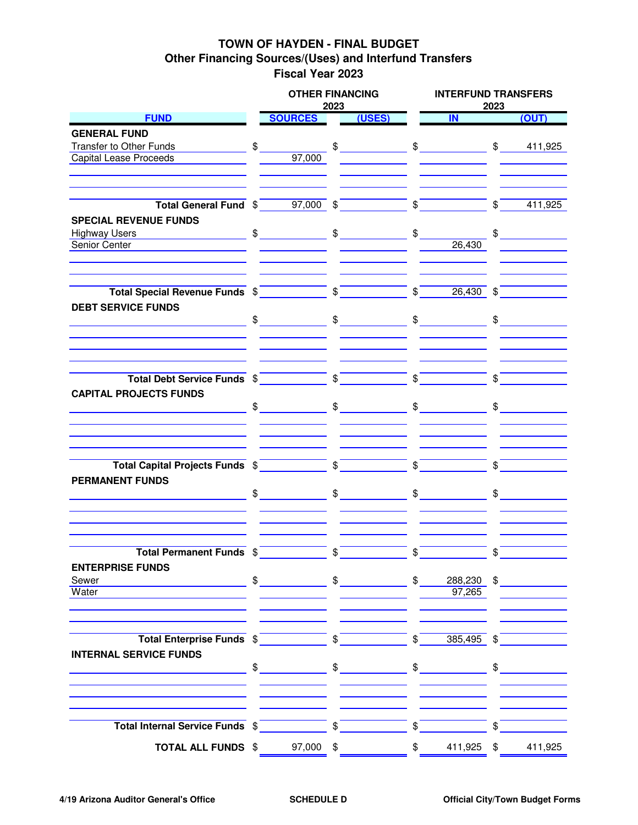## **TOWN OF HAYDEN - FINAL BUDGET Other Financing Sources/(Uses) and Interfund Transfers Fiscal Year 2023**

|                                                                                                                                                            |    | <b>OTHER FINANCING</b>                                                                                                                                                                                                                                                                                              | 2023 |               |                      | <b>INTERFUND TRANSFERS</b><br>2023                                                                                                                                                                                                                                                                |                |                |  |
|------------------------------------------------------------------------------------------------------------------------------------------------------------|----|---------------------------------------------------------------------------------------------------------------------------------------------------------------------------------------------------------------------------------------------------------------------------------------------------------------------|------|---------------|----------------------|---------------------------------------------------------------------------------------------------------------------------------------------------------------------------------------------------------------------------------------------------------------------------------------------------|----------------|----------------|--|
| <b>FUND</b>                                                                                                                                                |    | <b>SOURCES</b>                                                                                                                                                                                                                                                                                                      |      | (USES)        |                      | IN                                                                                                                                                                                                                                                                                                |                | (OUT)          |  |
| <b>GENERAL FUND</b>                                                                                                                                        |    |                                                                                                                                                                                                                                                                                                                     |      |               |                      |                                                                                                                                                                                                                                                                                                   |                |                |  |
| Transfer to Other Funds                                                                                                                                    | \$ |                                                                                                                                                                                                                                                                                                                     |      |               |                      |                                                                                                                                                                                                                                                                                                   |                |                |  |
| <b>Capital Lease Proceeds</b>                                                                                                                              |    | 97.000                                                                                                                                                                                                                                                                                                              |      |               |                      |                                                                                                                                                                                                                                                                                                   |                |                |  |
|                                                                                                                                                            |    |                                                                                                                                                                                                                                                                                                                     |      |               |                      |                                                                                                                                                                                                                                                                                                   |                |                |  |
|                                                                                                                                                            |    |                                                                                                                                                                                                                                                                                                                     |      |               |                      |                                                                                                                                                                                                                                                                                                   |                |                |  |
| Total General Fund $\sqrt[6]{\begin{array}{c} 5 \end{array}}$ 97,000 $\sqrt[6]{\begin{array}{c} 5 \end{array}}$ $\sqrt[6]{\begin{array}{c} 5 \end{array}}$ |    |                                                                                                                                                                                                                                                                                                                     |      |               |                      |                                                                                                                                                                                                                                                                                                   | $\mathbb{S}$   | 411,925        |  |
| <b>SPECIAL REVENUE FUNDS</b>                                                                                                                               |    |                                                                                                                                                                                                                                                                                                                     |      |               |                      |                                                                                                                                                                                                                                                                                                   |                |                |  |
| <b>Highway Users</b>                                                                                                                                       |    |                                                                                                                                                                                                                                                                                                                     |      |               | $\frac{1}{\sqrt{2}}$ |                                                                                                                                                                                                                                                                                                   |                | $\updownarrow$ |  |
| Senior Center                                                                                                                                              |    |                                                                                                                                                                                                                                                                                                                     |      |               |                      | 26,430                                                                                                                                                                                                                                                                                            |                |                |  |
|                                                                                                                                                            |    |                                                                                                                                                                                                                                                                                                                     |      |               |                      |                                                                                                                                                                                                                                                                                                   |                |                |  |
| Total Special Revenue Funds $\sqrt[6]{\begin{array}{c} \text{5} \\ \text{6} \end{array}}$                                                                  |    |                                                                                                                                                                                                                                                                                                                     |      |               |                      | $\frac{1}{2}$<br>$26,430$ \$                                                                                                                                                                                                                                                                      |                |                |  |
| <b>DEBT SERVICE FUNDS</b>                                                                                                                                  |    |                                                                                                                                                                                                                                                                                                                     |      |               |                      | $\textcolor{red}{\textcircled{\small\textsf{s}}} \textcolor{red}{\textcircled{\small\textsf{s}}} \textcolor{red}{\textcircled{\small\textsf{s}}} \textcolor{red}{\textcircled{\small\textsf{s}}} \textcolor{red}{\textcircled{\small\textsf{s}}} \textcolor{red}{\textcircled{\small\textsf{s}}}$ |                | $\frac{1}{2}$  |  |
|                                                                                                                                                            |    |                                                                                                                                                                                                                                                                                                                     |      |               |                      |                                                                                                                                                                                                                                                                                                   |                |                |  |
|                                                                                                                                                            |    |                                                                                                                                                                                                                                                                                                                     |      |               |                      |                                                                                                                                                                                                                                                                                                   |                |                |  |
| Total Debt Service Funds \$ \$ \$<br><b>CAPITAL PROJECTS FUNDS</b>                                                                                         |    |                                                                                                                                                                                                                                                                                                                     |      |               | $\frac{1}{2}$        |                                                                                                                                                                                                                                                                                                   | $\mathbb{S}$   |                |  |
|                                                                                                                                                            |    |                                                                                                                                                                                                                                                                                                                     |      |               |                      |                                                                                                                                                                                                                                                                                                   |                |                |  |
|                                                                                                                                                            |    |                                                                                                                                                                                                                                                                                                                     |      |               |                      |                                                                                                                                                                                                                                                                                                   |                |                |  |
|                                                                                                                                                            |    |                                                                                                                                                                                                                                                                                                                     |      |               |                      |                                                                                                                                                                                                                                                                                                   |                |                |  |
| Total Capital Projects Funds \$<br><b>PERMANENT FUNDS</b>                                                                                                  |    |                                                                                                                                                                                                                                                                                                                     |      |               | $\sqrt{s}$           |                                                                                                                                                                                                                                                                                                   | $\mathfrak{L}$ |                |  |
|                                                                                                                                                            |    | $\frac{1}{2}$ $\frac{1}{2}$ $\frac{1}{2}$ $\frac{1}{2}$ $\frac{1}{2}$ $\frac{1}{2}$ $\frac{1}{2}$ $\frac{1}{2}$ $\frac{1}{2}$ $\frac{1}{2}$ $\frac{1}{2}$ $\frac{1}{2}$ $\frac{1}{2}$ $\frac{1}{2}$ $\frac{1}{2}$ $\frac{1}{2}$ $\frac{1}{2}$ $\frac{1}{2}$ $\frac{1}{2}$ $\frac{1}{2}$ $\frac{1}{2}$ $\frac{1}{2}$ |      |               |                      | $\frac{1}{\sqrt{2}}$                                                                                                                                                                                                                                                                              |                | $\frac{1}{2}$  |  |
|                                                                                                                                                            |    |                                                                                                                                                                                                                                                                                                                     |      |               |                      |                                                                                                                                                                                                                                                                                                   |                |                |  |
| <b>Total Permanent Funds \$</b>                                                                                                                            |    |                                                                                                                                                                                                                                                                                                                     | \$   |               | \$.                  |                                                                                                                                                                                                                                                                                                   |                |                |  |
| <b>ENTERPRISE FUNDS</b>                                                                                                                                    |    |                                                                                                                                                                                                                                                                                                                     |      |               |                      |                                                                                                                                                                                                                                                                                                   |                |                |  |
| Sewer<br><u> 1980 - Johann Barn, fransk politik (</u>                                                                                                      |    | $\frac{1}{2}$                                                                                                                                                                                                                                                                                                       |      | $\frac{1}{2}$ | $\mathfrak{S}$       |                                                                                                                                                                                                                                                                                                   |                | $288,230$ \$   |  |
| Water                                                                                                                                                      |    |                                                                                                                                                                                                                                                                                                                     |      |               |                      | 97,265                                                                                                                                                                                                                                                                                            |                |                |  |
|                                                                                                                                                            |    |                                                                                                                                                                                                                                                                                                                     |      |               |                      |                                                                                                                                                                                                                                                                                                   |                |                |  |
| Total Enterprise Funds \$                                                                                                                                  |    |                                                                                                                                                                                                                                                                                                                     |      |               |                      | $385,495$ \$<br>$\frac{1}{2}$                                                                                                                                                                                                                                                                     |                |                |  |
| <b>INTERNAL SERVICE FUNDS</b>                                                                                                                              |    |                                                                                                                                                                                                                                                                                                                     |      |               |                      |                                                                                                                                                                                                                                                                                                   |                |                |  |
|                                                                                                                                                            |    | $\frac{1}{2}$                                                                                                                                                                                                                                                                                                       |      | $\frac{1}{2}$ |                      | $\frac{1}{\sqrt{2}}$                                                                                                                                                                                                                                                                              |                | $\frac{1}{2}$  |  |
|                                                                                                                                                            |    |                                                                                                                                                                                                                                                                                                                     |      |               |                      |                                                                                                                                                                                                                                                                                                   |                |                |  |
| Total Internal Service Funds $\sqrt[6]{\qquad \qquad }$                                                                                                    |    |                                                                                                                                                                                                                                                                                                                     |      |               | $\sqrt{s}$           |                                                                                                                                                                                                                                                                                                   | \$             |                |  |
| <b>TOTAL ALL FUNDS \$97,000 \$</b>                                                                                                                         |    |                                                                                                                                                                                                                                                                                                                     |      |               | \$                   | 411,925 \$                                                                                                                                                                                                                                                                                        |                | 411,925        |  |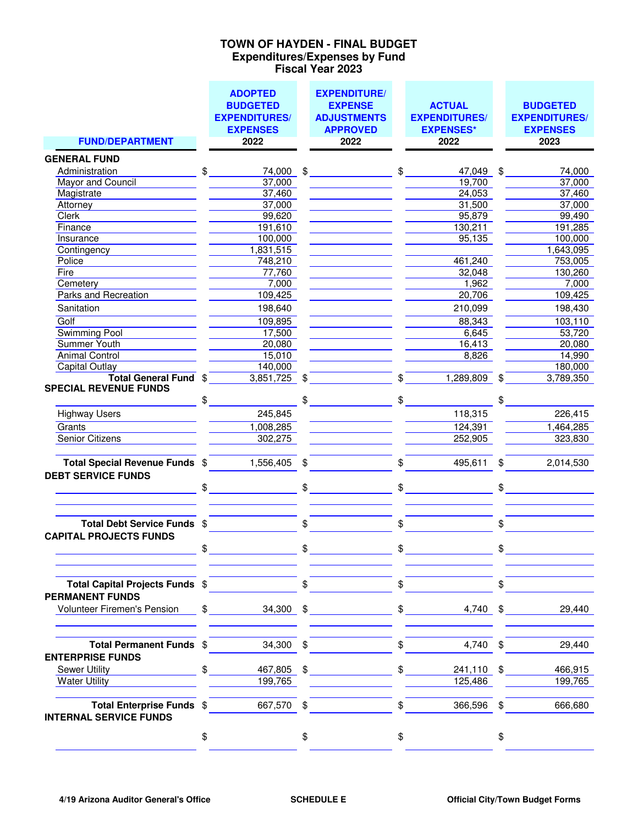### **Expenditures/Expenses by Fund Fiscal Year 2023 TOWN OF HAYDEN - FINAL BUDGET**

| <b>FUND/DEPARTMENT</b>                                      | <b>ADOPTED</b><br><b>BUDGETED</b><br><b>EXPENDITURES/</b><br><b>EXPENSES</b> | <b>EXPENDITURE/</b><br><b>EXPENSE</b><br><b>ADJUSTMENTS</b><br><b>APPROVED</b> |               | <b>ACTUAL</b><br><b>EXPENDITURES/</b><br><b>EXPENSES*</b> |     | <b>BUDGETED</b><br><b>EXPENDITURES/</b><br><b>EXPENSES</b> |
|-------------------------------------------------------------|------------------------------------------------------------------------------|--------------------------------------------------------------------------------|---------------|-----------------------------------------------------------|-----|------------------------------------------------------------|
|                                                             | 2022                                                                         | 2022                                                                           |               | 2022                                                      |     | 2023                                                       |
| <b>GENERAL FUND</b>                                         |                                                                              |                                                                                |               |                                                           |     |                                                            |
| Administration                                              | \$<br>74,000                                                                 | \$                                                                             | \$            | 47,049                                                    | \$  | 74,000                                                     |
| Mayor and Council                                           | 37,000                                                                       |                                                                                |               | 19,700                                                    |     | 37,000                                                     |
| Magistrate                                                  | 37,460                                                                       |                                                                                |               | 24,053                                                    |     | 37,460                                                     |
| Attorney                                                    | 37,000                                                                       |                                                                                |               | 31,500                                                    |     | 37,000                                                     |
| <b>Clerk</b>                                                | 99,620                                                                       |                                                                                |               | 95,879                                                    |     | 99,490                                                     |
| Finance                                                     | 191,610                                                                      |                                                                                |               | 130,211                                                   |     | 191,285                                                    |
| Insurance                                                   | 100,000                                                                      |                                                                                |               | 95,135                                                    |     | 100,000                                                    |
| Contingency                                                 | 1,831,515                                                                    |                                                                                |               |                                                           |     | 1,643,095                                                  |
| Police                                                      | 748,210                                                                      |                                                                                |               | 461,240                                                   |     | 753,005                                                    |
| Fire                                                        | 77,760                                                                       |                                                                                |               | 32,048                                                    |     | 130,260                                                    |
| Cemetery                                                    | 7,000                                                                        |                                                                                |               | 1,962                                                     |     | 7,000                                                      |
| Parks and Recreation                                        | 109,425                                                                      |                                                                                |               | 20,706                                                    |     | 109,425                                                    |
| Sanitation                                                  | 198,640                                                                      |                                                                                |               | 210,099                                                   |     | 198,430                                                    |
| Golf                                                        | 109,895                                                                      |                                                                                |               | 88,343                                                    |     | 103,110                                                    |
| <b>Swimming Pool</b>                                        | 17,500                                                                       |                                                                                |               | 6,645                                                     |     | 53,720                                                     |
| <b>Summer Youth</b>                                         | 20,080                                                                       |                                                                                |               | 16,413                                                    |     | 20,080                                                     |
| <b>Animal Control</b>                                       | 15,010                                                                       |                                                                                |               | 8,826                                                     |     | 14,990                                                     |
| <b>Capital Outlay</b>                                       | 140,000                                                                      |                                                                                |               |                                                           |     | 180,000                                                    |
| Total General Fund \$                                       | 3,851,725                                                                    | \$                                                                             | \$            | 1,289,809                                                 | \$  | 3,789,350                                                  |
| <b>SPECIAL REVENUE FUNDS</b>                                |                                                                              |                                                                                |               |                                                           |     |                                                            |
|                                                             | \$                                                                           | \$                                                                             | \$            |                                                           |     |                                                            |
| <b>Highway Users</b>                                        | 245,845                                                                      |                                                                                |               | 118,315                                                   |     | 226,415                                                    |
| Grants                                                      | 1,008,285                                                                    |                                                                                |               | 124,391                                                   |     | 1,464,285                                                  |
| <b>Senior Citizens</b>                                      | 302,275                                                                      |                                                                                |               | 252,905                                                   |     | 323,830                                                    |
|                                                             |                                                                              |                                                                                |               |                                                           |     |                                                            |
| Total Special Revenue Funds \$<br><b>DEBT SERVICE FUNDS</b> | 1,556,405                                                                    | \$                                                                             | \$            | 495,611                                                   | \$  | 2,014,530                                                  |
|                                                             | \$                                                                           | \$                                                                             | \$            |                                                           | \$  |                                                            |
|                                                             |                                                                              |                                                                                |               |                                                           |     |                                                            |
| Total Debt Service Funds \$                                 |                                                                              | \$                                                                             | \$            |                                                           | \$  |                                                            |
| <b>CAPITAL PROJECTS FUNDS</b>                               |                                                                              |                                                                                |               |                                                           |     |                                                            |
|                                                             | \$                                                                           | \$                                                                             | \$            |                                                           | ¢   |                                                            |
| Total Capital Projects Funds \$                             |                                                                              | \$                                                                             | \$            |                                                           | \$. |                                                            |
| <b>PERMANENT FUNDS</b>                                      |                                                                              |                                                                                |               |                                                           |     |                                                            |
| Volunteer Firemen's Pension                                 | $\frac{1}{2}$                                                                | $34,300$ \$                                                                    |               | $\frac{1}{2}$                                             |     | $4,740$ \$<br>29,440                                       |
| Total Permanent Funds \$                                    | 34,300                                                                       | \$                                                                             | \$            | 4,740                                                     | \$  | 29,440                                                     |
| <b>ENTERPRISE FUNDS</b>                                     |                                                                              |                                                                                |               |                                                           |     |                                                            |
| <b>Sewer Utility</b>                                        | \$<br>467,805                                                                | \$                                                                             | $\frac{1}{2}$ | 241,110 \$                                                |     | 466,915                                                    |
| <b>Water Utility</b>                                        | 199,765                                                                      |                                                                                |               | 125,486                                                   |     | 199,765                                                    |
|                                                             |                                                                              |                                                                                |               |                                                           |     |                                                            |
| Total Enterprise Funds \$<br><b>INTERNAL SERVICE FUNDS</b>  | 667,570 \$                                                                   |                                                                                | \$            | 366,596 \$                                                |     | 666,680                                                    |
|                                                             | \$                                                                           | \$                                                                             | \$            |                                                           | \$  |                                                            |